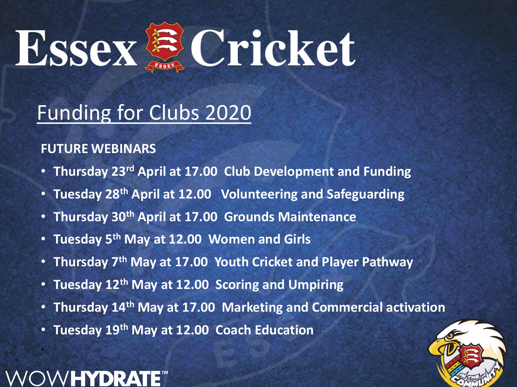

### Funding for Clubs 2020

### **FUTURE WEBINARS**

- **Thursday 23rd April at 17.00 Club Development and Funding**
- **Tuesday 28th April at 12.00 Volunteering and Safeguarding**
- **Thursday 30th April at 17.00 Grounds Maintenance**
- **Tuesday 5th May at 12.00 Women and Girls**
- **Thursday 7th May at 17.00 Youth Cricket and Player Pathway**
- **Tuesday 12th May at 12.00 Scoring and Umpiring**
- **Thursday 14th May at 17.00 Marketing and Commercial activation**
- **Tuesday 19th May at 12.00 Coach Education**



•

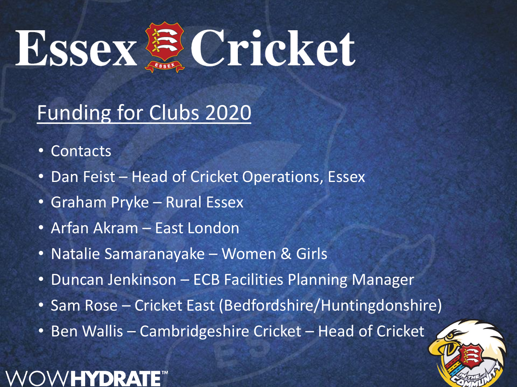

# Funding for Clubs 2020

- Contacts
- Dan Feist Head of Cricket Operations, Essex
- Graham Pryke Rural Essex
- Arfan Akram East London
- Natalie Samaranayake Women & Girls
- Duncan Jenkinson ECB Facilities Planning Manager
- Sam Rose Cricket East (Bedfordshire/Huntingdonshire)
- Ben Wallis Cambridgeshire Cricket Head of Cricket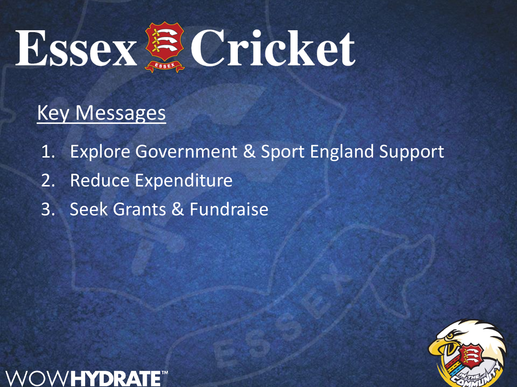

### Key Messages

- 1. Explore Government & Sport England Support
- 2. Reduce Expenditure
- 3. Seek Grants & Fundraise



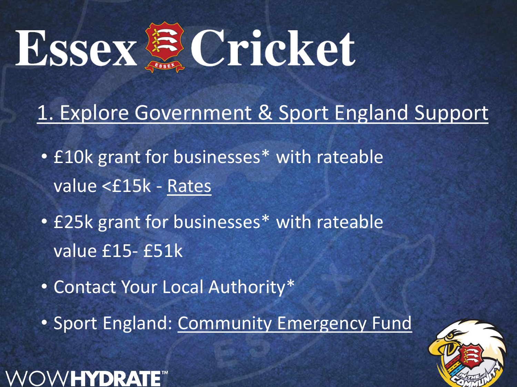

### 1. Explore Government & Sport England Support

- £10k grant for businesses\* with rateable value <£15k - [Rates](https://www.gov.uk/correct-your-business-rates)
- £25k grant for businesses\* with rateable value £15- £51k
- Contact Your Local Authority\*

V**HYDRA**I

• Sport England: [Community Emergency Fund](https://ecb-comms.co.uk/t/1FT6-6TD5E-7DM4VQ-40H0IR-1/c.aspx)

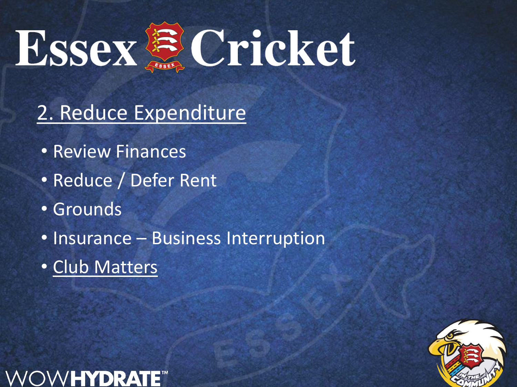

# 2. Reduce Expenditure

- Review Finances
- Reduce / Defer Rent
- Grounds
- Insurance Business Interruption
- [Club Matters](https://learn.sportenglandclubmatters.com/course/view.php?id=71)

W**HYDRAT** 

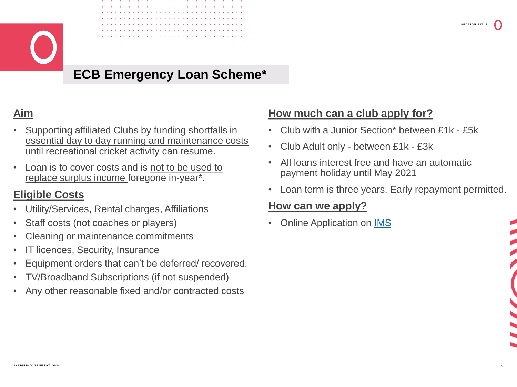

### **ECB Emergency Loan Scheme\***

#### **Aim**

- Supporting affiliated Clubs by funding shortfalls in essential day to day running and maintenance costs until recreational cricket activity can resume.
- Loan is to cover costs and is not to be used to replace surplus income foregone in-year\*.

#### **Eligible Costs**

- Utility/Services, Rental charges, Affiliations
- Staff costs (not coaches or players)
- Cleaning or maintenance commitments
- IT licences, Security, Insurance
- Equipment orders that can't be deferred/ recovered.
- TV/Broadband Subscriptions (if not suspended)
- Any other reasonable fixed and/or contracted costs

#### **How much can a club apply for?**

- Club with a Junior Section\* between £1k £5k
- Club Adult only between £1k £3k
- All loans interest free and have an automatic payment holiday until May 2021
- Loan term is three years. Early repayment permitted.

#### **How can we apply?**

**Online Application on [IMS](https://ims.ecb.co.uk/)** 



**6**

**SECTION TITLE**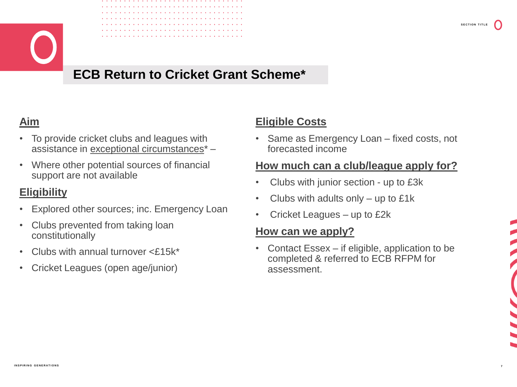

### **ECB Return to Cricket Grant Scheme\***

#### **Aim**

- To provide cricket clubs and leagues with assistance in exceptional circumstances\* –
- Where other potential sources of financial support are not available

#### **Eligibility**

- Explored other sources; inc. Emergency Loan
- Clubs prevented from taking loan constitutionally
- Clubs with annual turnover <£15k\*
- Cricket Leagues (open age/junior)

#### **Eligible Costs**

• Same as Emergency Loan – fixed costs, not forecasted income

#### **How much can a club/league apply for?**

- Clubs with junior section up to £3k
- Clubs with adults only  $-$  up to £1k
- Cricket Leagues up to £2k

#### **How can we apply?**

• Contact Essex – if eligible, application to be completed & referred to ECB RFPM for assessment.

**7**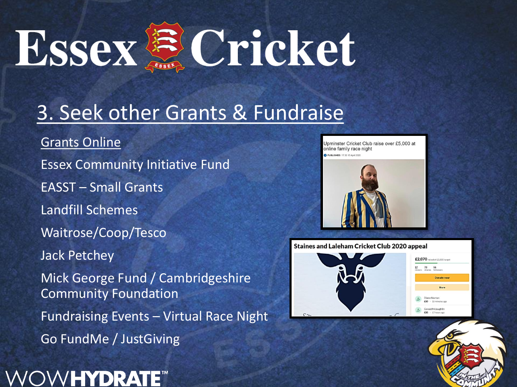

### 3. Seek other Grants & Fundraise

[Grants Online](https://www.grantsonline.org.uk/coronavirus.html) Essex Community Initiative Fund EASST – Small Grants Landfill Schemes Waitrose/Coop/Tesco Jack Petchey Mick George Fund / Cambridgeshire Community Foundation Fundraising Events – Virtual Race Night Go FundMe / JustGiving



Upminster Cricket Club raise over £5,000 at online family race night PUBLISHED: 17:30.15 Anni 20





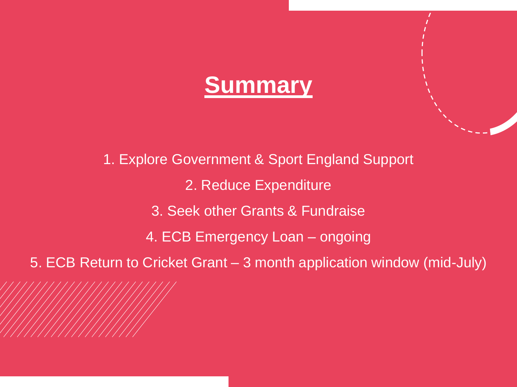

1. Explore Government & Sport England Support 2. Reduce Expenditure 3. Seek other Grants & Fundraise 4. ECB Emergency Loan – ongoing 5. ECB Return to Cricket Grant – 3 month application window (mid-July)